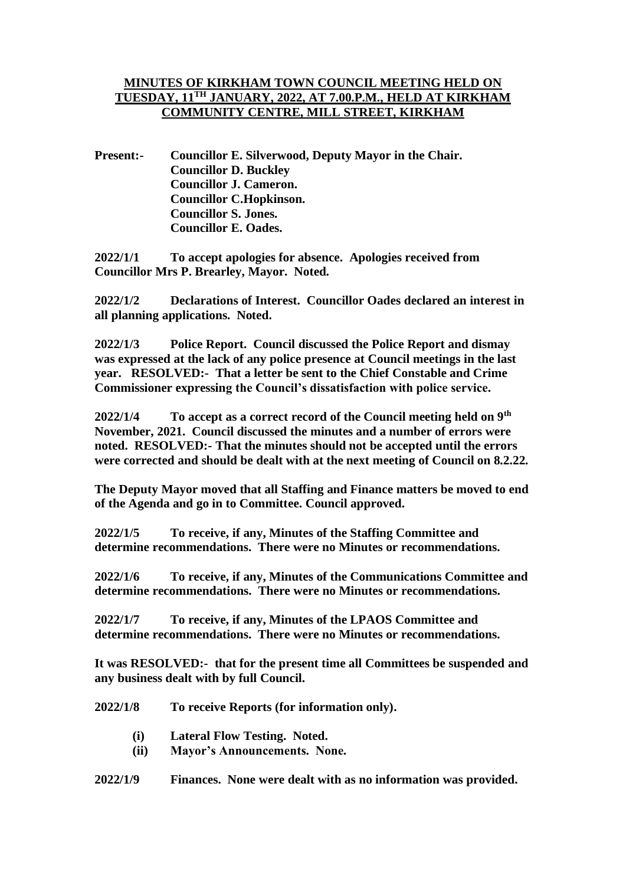## **MINUTES OF KIRKHAM TOWN COUNCIL MEETING HELD ON TUESDAY, 11TH JANUARY, 2022, AT 7.00.P.M., HELD AT KIRKHAM COMMUNITY CENTRE, MILL STREET, KIRKHAM**

**Present:- Councillor E. Silverwood, Deputy Mayor in the Chair. Councillor D. Buckley Councillor J. Cameron. Councillor C.Hopkinson. Councillor S. Jones. Councillor E. Oades.**

**2022/1/1 To accept apologies for absence. Apologies received from Councillor Mrs P. Brearley, Mayor. Noted.**

**2022/1/2 Declarations of Interest. Councillor Oades declared an interest in all planning applications. Noted.**

**2022/1/3 Police Report. Council discussed the Police Report and dismay was expressed at the lack of any police presence at Council meetings in the last year. RESOLVED:- That a letter be sent to the Chief Constable and Crime Commissioner expressing the Council's dissatisfaction with police service.**

**2022/1/4 To accept as a correct record of the Council meeting held on 9th November, 2021. Council discussed the minutes and a number of errors were noted. RESOLVED:- That the minutes should not be accepted until the errors were corrected and should be dealt with at the next meeting of Council on 8.2.22.**

**The Deputy Mayor moved that all Staffing and Finance matters be moved to end of the Agenda and go in to Committee. Council approved.**

**2022/1/5 To receive, if any, Minutes of the Staffing Committee and determine recommendations. There were no Minutes or recommendations.**

**2022/1/6 To receive, if any, Minutes of the Communications Committee and determine recommendations. There were no Minutes or recommendations.**

**2022/1/7 To receive, if any, Minutes of the LPAOS Committee and determine recommendations. There were no Minutes or recommendations.**

**It was RESOLVED:- that for the present time all Committees be suspended and any business dealt with by full Council.** 

**2022/1/8 To receive Reports (for information only).** 

- **(i) Lateral Flow Testing. Noted.**
- **(ii) Mayor's Announcements. None.**
- **2022/1/9 Finances. None were dealt with as no information was provided.**